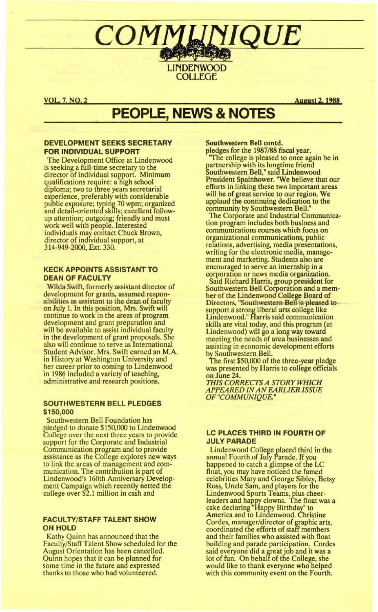# COMM **NIQUE LINDENWOOD**

**COLLEGE** 

**VOL. 7, NO. 2** 

**August 2, 1988** 

# **PEOPLE, NEWS & NOTES**

#### **DEVELOPMENT SEEKS SECRETARY FOR INDIVIDUAL SUPPORT**

The Development Office at Lindenwood is seeking a full-time secretary to the<br>director of individual support. Minimum qualifications require: a high school<br>diploma; two to three years secretarial experience, preferably with considerable<br>public exposure; typing 70 wpm; organized<br>and detail-oriented skills; excellent followup attention; outgoing; friendly and must<br>work well with people. Interested individuals may contact Chuck Brown,<br>director of individual support, at 314-949-2000, Ext. 330.

#### **KECK APPOINTS ASSISTANT TO DEAN OF FACULTY**

Wilda Swift, formerly assistant director of development for grants, assumed responsibilities as assistant to the dean of faculty on July 1. In this position, Mrs. Swift will continue to work in the areas of program development and grant preparation and will be available to assist individual faculty in the development of grant proposals. She also will continue to serve as International Student Advisor. Mrs. Swift earned an M.A. in History at Washington University and her career prior to coming to Lindenwood in 1986 included a variety of teaching, administrative and research positions.

#### **SOUTHWESTERN BELL PLEDGES** \$150,000

Southwestern Bell Foundation has pledged to donate \$150,000 to Lindenwood<br>College over the next three years to provide support for the Corporate and Industrial Communication program and to provide<br>assistance as the College explores new ways to link the areas of management and com-<br>munication. The contribution is part of<br>Lindenwood's 160th Anniversary Development Campaign which recently netted the college over \$2.1 million in cash and

#### **FACULTY/STAFF TALENT SHOW ON HOLD**

Kathy Quinn has announced that the Faculty/Staff Talent Show scheduled for the August Orientation has been cancelled. Quinn hopes that it can be planned for some time in the future and expressed thanks to those who had volunteered.

Southwestern Bell contd.

pledges for the 1987/88 fiscal year. "The college is pleased to once again be in partnership with its longtime friend<br>Southwestern Bell," said Lindenwood<br>President Spainhower. "We believe that our efforts in linking these two important areas will be of great service to our region. We applaud the continuing dedication to the community by Southwestern Bell.

The Corporate and Industrial Communication program includes both business and communications courses which focus on organizational communications, public relations, advertising, media presentations, writing for the electronic media, management and marketing. Students also are encouraged to serve an internship in a corporation or news media organization.

Said Richard Harris, group president for<br>Southwestern Bell Corporation and a member of the Lindenwood College Board of Directors, "Southwestern Bell is pleased to support a strong liberal arts college like<br>Lindenwood." Harris said communication skills are vital today, and this program (at Lindenwood) will go a long way toward meeting the needs of area businesses and assisting in economic development efforts by Southwestern Bell.<br>The first \$50,000 of the three-year pledge

was presented by Harris to college officials on June 24.

THIS CORRECTS A STORY WHICH **APPEARED IN AN EARLIER ISSUE** OF "COMMUNIQUE."

#### LC PLACES THIRD IN FOURTH OF **JULY PARADE**

Lindenwood College placed third in the<br>annual Fourth of July Parade. If you happened to catch a glimpse of the LC float, you may have noticed the famed celebrities Mary and George Sibley, Betsy Ross, Uncle Sam, and players for the Lindenwood Sports Teams, plus cheer-<br>Lindenwood Sports Teams, plus cheer-<br>leaders and happy clowns. The float was a<br>cake declaring "Happy Birthday" to<br>America and to Lindenwood. Christine Cordes, manager/director of graphic arts,<br>coordinated the efforts of staff members and their families who assisted with float building and parade participation. Cordes said everyone did a great job and it was a<br>lot of fun. On behalf of the College, she would like to thank everyone who helped with this community event on the Fourth.